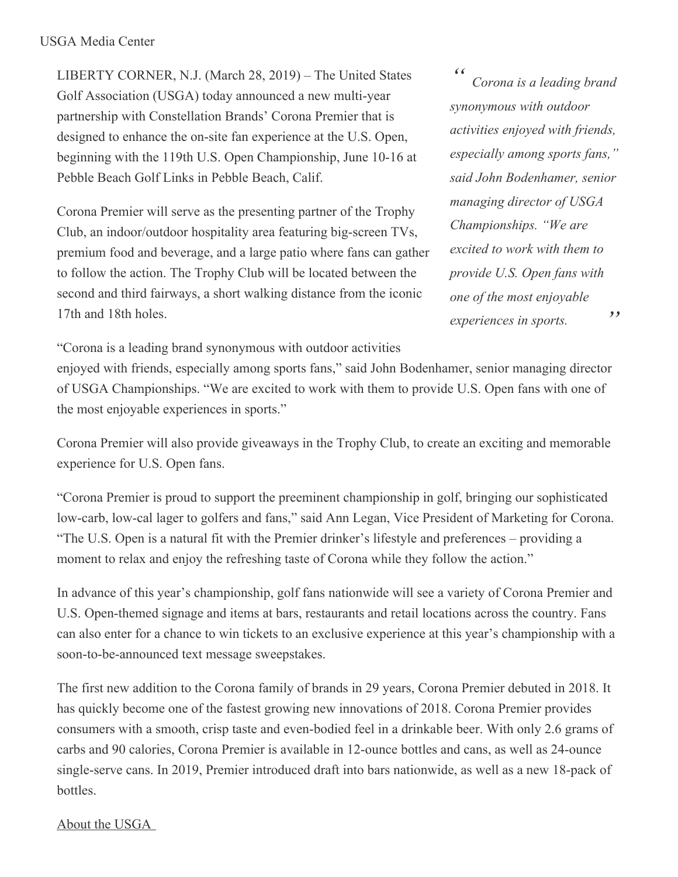## USGA Media Center

LIBERTY CORNER, N.J. (March 28, 2019) – The United States Golf Association (USGA) today announced a new multi-year partnership with Constellation Brands' Corona Premier that is designed to enhance the on-site fan experience at the U.S. Open, beginning with the 119th U.S. Open Championship, June 10-16 at Pebble Beach Golf Links in Pebble Beach, Calif.

Corona Premier will serve as the presenting partner of the Trophy Club, an indoor/outdoor hospitality area featuring big-screen TVs, premium food and beverage, and a large patio where fans can gather to follow the action. The Trophy Club will be located between the second and third fairways, a short walking distance from the iconic 17th and 18th holes.

*" " Corona is a leading brand synonymous with outdoor activities enjoyed with friends, especially among sports fans," said John Bodenhamer, senior managing director of USGA Championships. "We are excited to work with them to provide U.S. Open fans with one of the most enjoyable experiences in sports.*

"Corona is a leading brand synonymous with outdoor activities

enjoyed with friends, especially among sports fans," said John Bodenhamer, senior managing director of USGA Championships. "We are excited to work with them to provide U.S. Open fans with one of the most enjoyable experiences in sports."

Corona Premier will also provide giveaways in the Trophy Club, to create an exciting and memorable experience for U.S. Open fans.

"Corona Premier is proud to support the preeminent championship in golf, bringing our sophisticated low-carb, low-cal lager to golfers and fans," said Ann Legan, Vice President of Marketing for Corona. "The U.S. Open is a natural fit with the Premier drinker's lifestyle and preferences – providing a moment to relax and enjoy the refreshing taste of Corona while they follow the action."

In advance of this year's championship, golf fans nationwide will see a variety of Corona Premier and U.S. Open-themed signage and items at bars, restaurants and retail locations across the country. Fans can also enter for a chance to win tickets to an exclusive experience at this year's championship with a soon-to-be-announced text message sweepstakes.

The first new addition to the Corona family of brands in 29 years, Corona Premier debuted in 2018. It has quickly become one of the fastest growing new innovations of 2018. Corona Premier provides consumers with a smooth, crisp taste and even-bodied feel in a drinkable beer. With only 2.6 grams of carbs and 90 calories, Corona Premier is available in 12-ounce bottles and cans, as well as 24-ounce single-serve cans. In 2019, Premier introduced draft into bars nationwide, as well as a new 18-pack of bottles.

## About the USGA